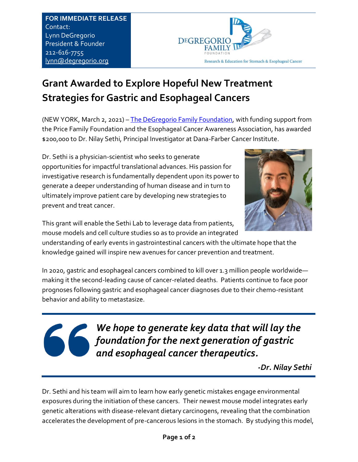**FOR IMMEDIATE RELEASE**  Contact: Lynn DeGregorio President & Founder 212-616-7755 [lynn@degregorio.org](mailto:lynn@degregorio.org)



## **Grant Awarded to Explore Hopeful New Treatment Strategies for Gastric and Esophageal Cancers**

(NEW YORK, March 2, 2021) – [The DeGregorio Family Foundation,](https://www.degregorio.org/) with funding support from the Price Family Foundation and the Esophageal Cancer Awareness Association, has awarded \$200,000 to Dr. Nilay Sethi, Principal Investigator at Dana-Farber Cancer Institute.

Dr. Sethi is a physician-scientist who seeks to generate opportunities for impactful translational advances. His passion for investigative research is fundamentally dependent upon its power to generate a deeper understanding of human disease and in turn to ultimately improve patient care by developing new strategies to prevent and treat cancer.



This grant will enable the Sethi Lab to leverage data from patients, mouse models and cell culture studies so as to provide an integrated

understanding of early events in gastrointestinal cancers with the ultimate hope that the knowledge gained will inspire new avenues for cancer prevention and treatment.

In 2020, gastric and esophageal cancers combined to kill over 1.3 million people worldwide making it the second-leading cause of cancer-related deaths. Patients continue to face poor prognoses following gastric and esophageal cancer diagnoses due to their chemo-resistant behavior and ability to metastasize.

*We hope to generate key data that will lay the foundation for the next generation of gastric and esophageal cancer therapeutics.*

 *-Dr. Nilay Sethi*

Dr. Sethi and his team will aim to learn how early genetic mistakes engage environmental exposures during the initiation of these cancers. Their newest mouse model integrates early genetic alterations with disease-relevant dietary carcinogens, revealing that the combination accelerates the development of pre-cancerous lesions in the stomach. By studying this model,